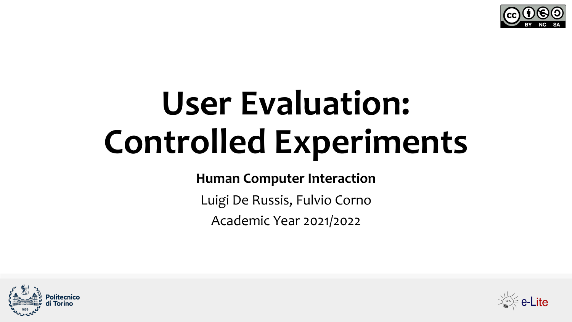

# **User Evaluation: Controlled Experiments**

**Human Computer Interaction**

Luigi De Russis, Fulvio Corno

Academic Year 2021/2022



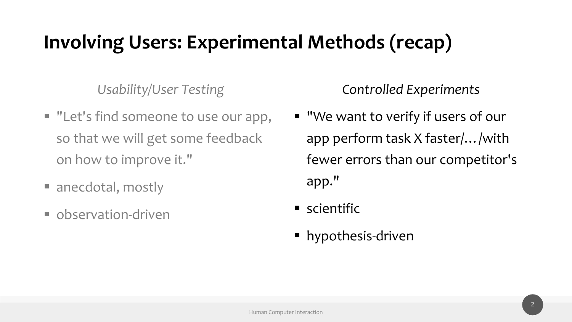# **Involving Users: Experimental Methods (recap)**

*Usability/User Testing*

- "Let's find someone to use our app, so that we will get some feedback on how to improve it."
- anecdotal, mostly
- observation-driven

*Controlled Experiments*

- "We want to verify if users of our app perform task X faster/…/with fewer errors than our competitor's app."
- scientific
- § hypothesis-driven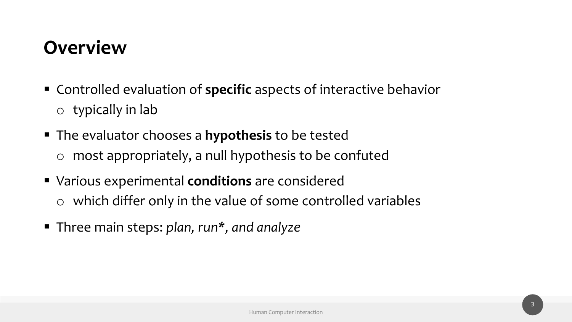#### **Overview**

- Controlled evaluation of **specific** aspects of interactive behavior  $\circ$  typically in lab
- § The evaluator chooses a **hypothesis** to be tested o most appropriately, a null hypothesis to be confuted
- § Various experimental **conditions** are considered o which differ only in the value of some controlled variables
- § Three main steps: *plan, run\*, and analyze*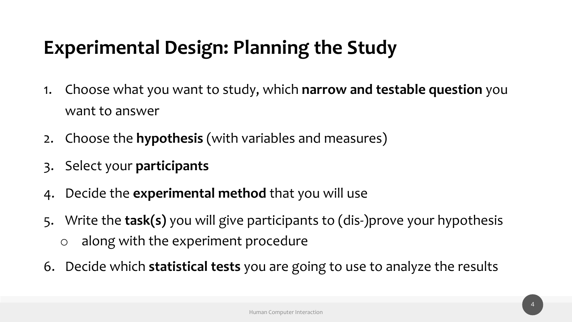# **Experimental Design: Planning the Study**

- 1. Choose what you want to study, which **narrow and testable question** you want to answer
- 2. Choose the **hypothesis** (with variables and measures)
- 3. Select your **participants**
- 4. Decide the **experimental method** that you will use
- 5. Write the **task(s)** you will give participants to (dis-)prove your hypothesis
	- o along with the experiment procedure
- 6. Decide which **statistical tests** you are going to use to analyze the results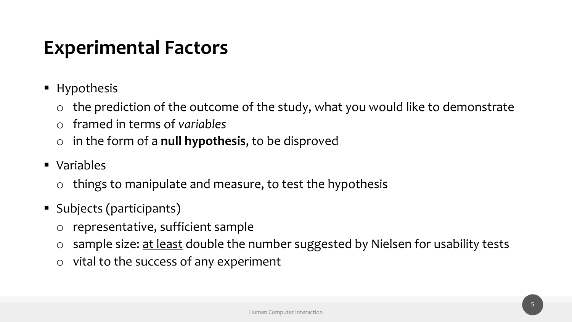# **Experimental Factors**

- Hypothesis
	- $\circ$  the prediction of the outcome of the study, what you would like to demonstrate
	- o framed in terms of *variables*
	- o in the form of a **null hypothesis**, to be disproved
- § Variables
	- $\circ$  things to manipulate and measure, to test the hypothesis
- § Subjects (participants)
	- o representative, sufficient sample
	- o sample size: at least double the number suggested by Nielsen for usability tests
	- o vital to the success of any experiment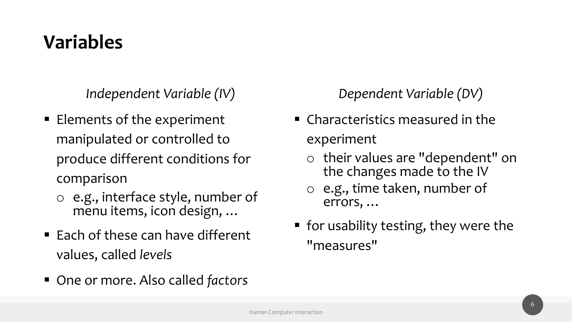# **Variables**

*Independent Variable (IV)*

- Elements of the experiment manipulated or controlled to produce different conditions for comparison
	- o e.g., interface style, number of menu items, icon design, …
- $\blacksquare$  Each of these can have different values, called *levels*
- One or more. Also called *factors*

#### *Dependent Variable (DV)*

- $\blacksquare$  Characteristics measured in the experiment
	- o their values are "dependent" on the changes made to the IV
	- o e.g., time taken, number of errors, …
- for usability testing, they were the "measures"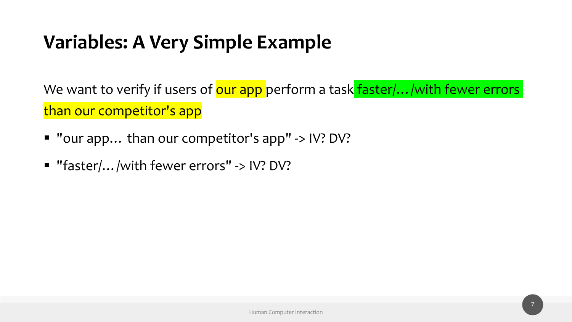# **Variables: A Very Simple Example**

We want to verify if users of our app perform a task faster/.../with fewer errors than our competitor's app

- "our app... than our competitor's app" -> IV? DV?
- "faster/.../with fewer errors" -> IV? DV?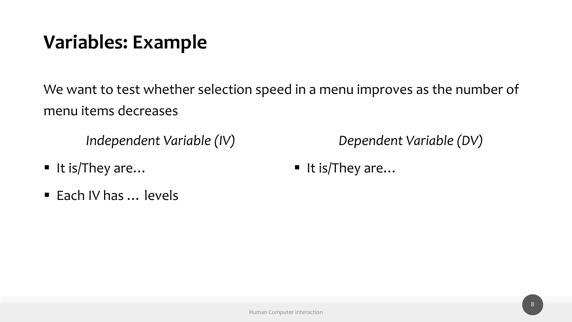# **Variables: Example**

We want to test whether selection speed in a menu improves as the number of menu items decreases

*Independent Variable (IV)*

- It is/They are...
- Each IV has ... levels

*Dependent Variable (DV)*

■ It is/They are...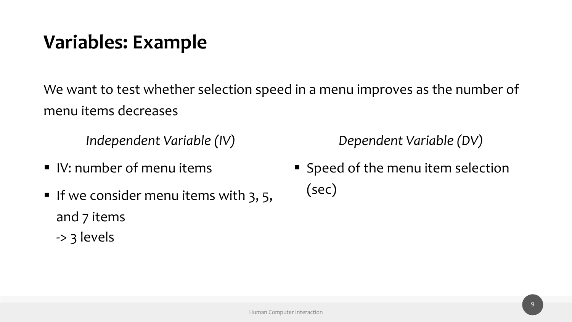# **Variables: Example**

We want to test whether selection speed in a menu improves as the number of menu items decreases

*Independent Variable (IV)*

- § IV: number of menu items
- If we consider menu items with 3, 5, and 7 items -> 3 levels

*Dependent Variable (DV)*

■ Speed of the menu item selection (sec)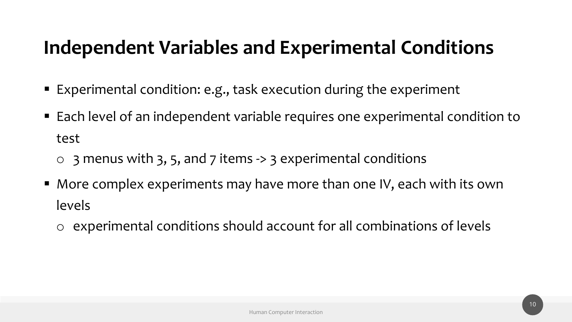- Experimental condition: e.g., task execution during the experiment
- Each level of an independent variable requires one experimental condition to test
	- $\circ$  3 menus with 3, 5, and 7 items -> 3 experimental conditions
- More complex experiments may have more than one IV, each with its own levels
	- o experimental conditions should account for all combinations of levels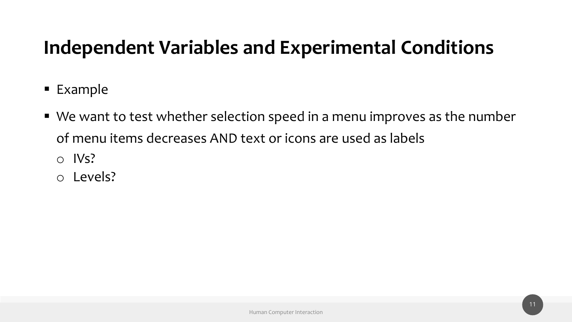- § Example
- We want to test whether selection speed in a menu improves as the number of menu items decreases AND text or icons are used as labels
	- o IVs?
	- o Levels?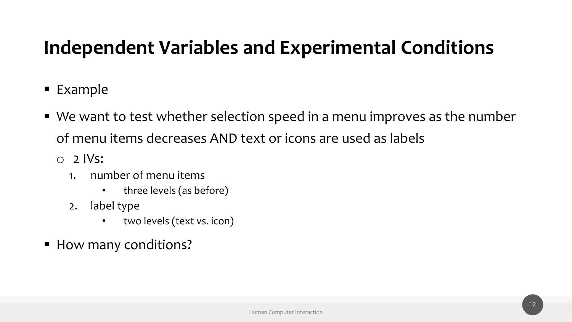- § Example
- We want to test whether selection speed in a menu improves as the number of menu items decreases AND text or icons are used as labels
	- $\circ$  2 IVs:
		- 1. number of menu items
			- three levels (as before)
		- 2. label type
			- two levels (text vs. icon)
- How many conditions?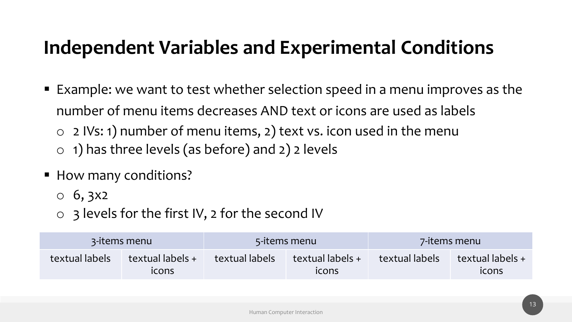- Example: we want to test whether selection speed in a menu improves as the number of menu items decreases AND text or icons are used as labels  $\circ$  2 IVs: 1) number of menu items, 2) text vs. icon used in the menu  $\circ$  1) has three levels (as before) and 2) 2 levels
- How many conditions?
	- $\circ$  6, 3x2
	- $\circ$  3 levels for the first IV, 2 for the second IV

|                | 3-items menu              |                | 5-items menu              |                | 7-items menu              |
|----------------|---------------------------|----------------|---------------------------|----------------|---------------------------|
| textual labels | textual labels +<br>icons | textual labels | textual labels +<br>icons | textual labels | textual labels +<br>icons |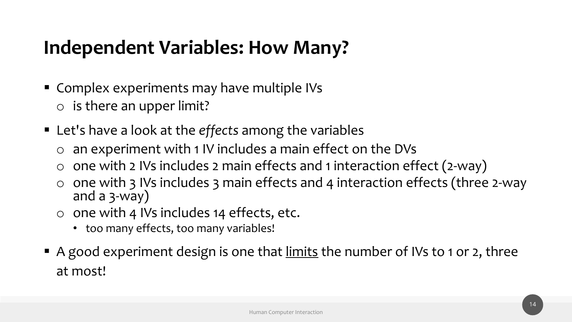#### **Independent Variables: How Many?**

- Complex experiments may have multiple IVs o is there an upper limit?
- Let's have a look at the *effects* among the variables
	- o an experiment with 1 IV includes a main effect on the DVs
	- $\circ$  one with 2 IVs includes 2 main effects and 1 interaction effect (2-way)
	- o one with 3 IVs includes 3 main effects and 4 interaction effects (three 2-way and a 3-way)
	- $\circ$  one with 4 IVs includes 14 effects, etc.
		- too many effects, too many variables!
- A good experiment design is one that limits the number of IVs to 1 or 2, three at most!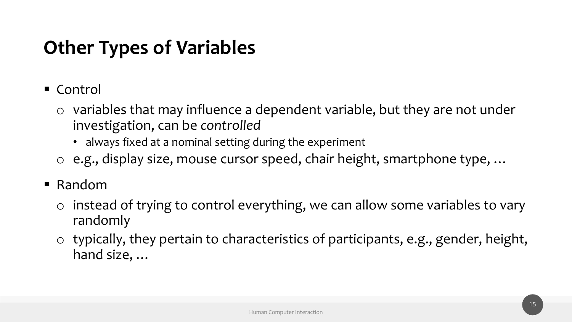# **Other Types of Variables**

- $\blacksquare$  Control
	- $\circ$  variables that may influence a dependent variable, but they are not under investigation, can be *controlled*
		- always fixed at a nominal setting during the experiment
	- o e.g., display size, mouse cursor speed, chair height, smartphone type, …
- Random
	- o instead of trying to control everything, we can allow some variables to vary randomly
	- o typically, they pertain to characteristics of participants, e.g., gender, height, hand size, …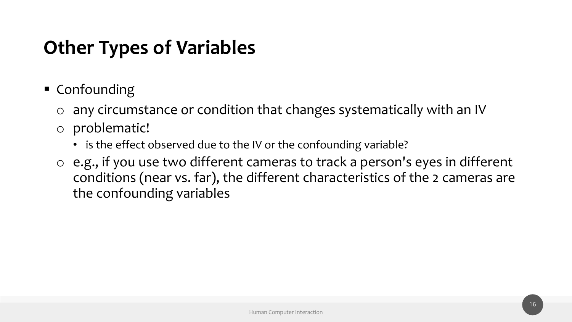# **Other Types of Variables**

- Confounding
	- o any circumstance or condition that changes systematically with an IV
	- o problematic!
		- is the effect observed due to the IV or the confounding variable?
	- o e.g., if you use two different cameras to track a person's eyes in different conditions (near vs. far), the different characteristics of the 2 cameras are the confounding variables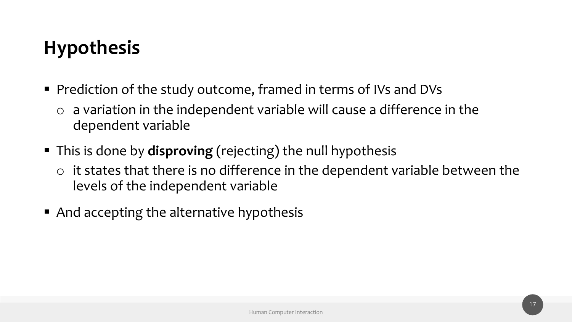# **Hypothesis**

- Prediction of the study outcome, framed in terms of IVs and DVs
	- $\circ$  a variation in the independent variable will cause a difference in the dependent variable
- § This is done by **disproving** (rejecting) the null hypothesis
	- $\circ$  it states that there is no difference in the dependent variable between the levels of the independent variable
- And accepting the alternative hypothesis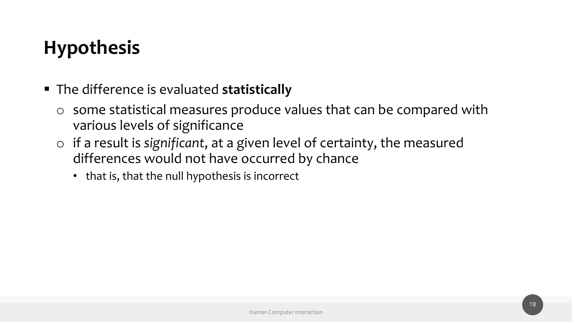# **Hypothesis**

- § The difference is evaluated **statistically**
	- o some statistical measures produce values that can be compared with various levels of significance
	- o if a result is *significant*, at a given level of certainty, the measured differences would not have occurred by chance
		- that is, that the null hypothesis is incorrect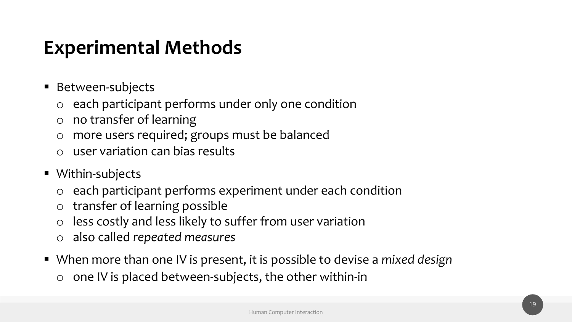# **Experimental Methods**

- Between-subjects
	- o each participant performs under only one condition
	- o no transfer of learning
	- o more users required; groups must be balanced
	- o user variation can bias results
- Within-subjects
	- o each participant performs experiment under each condition
	- o transfer of learning possible
	- o less costly and less likely to suffer from user variation
	- o also called *repeated measures*
- When more than one IV is present, it is possible to devise a *mixed design* 
	- $\circ$  one IV is placed between-subjects, the other within-in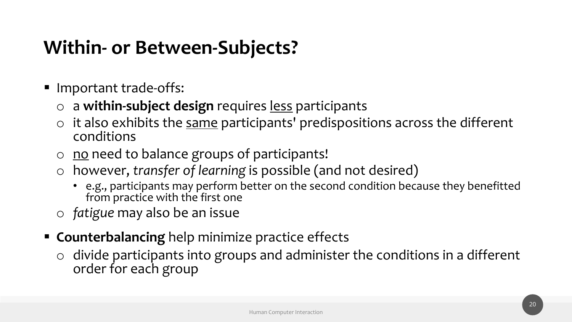# **Within- or Between-Subjects?**

- Important trade-offs:
	- o a **within-subject design** requires less participants
	- $\circ$  it also exhibits the same participants' predispositions across the different conditions
	- $\circ$  no need to balance groups of participants!
	- o however, *transfer of learning* is possible (and not desired)
		- e.g., participants may perform better on the second condition because they benefitted from practice with the first one
	- o *fatigue* may also be an issue
- **EXPLEX Counterbalancing** help minimize practice effects
	- o divide participants into groups and administer the conditions in a different order for each group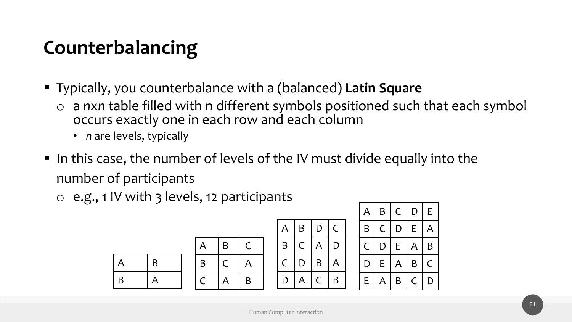# **Counterbalancing**

- § Typically, you counterbalance with a (balanced) **Latin Square**
	- o a *n*x*n* table filled with n different symbols positioned such that each symbol occurs exactly one in each row and each column
		- *n* are levels, typically
- In this case, the number of levels of the IV must divide equally into the number of participants
	- o e.g., 1 IV with 3 levels, 12 participants

| A | B |
|---|---|
| B | A |

| A | Β | C |
|---|---|---|
| B |   | A |
|   | A | Β |

|   |              |              |              | $\mathsf{A}$ | B  |       | C D            | $\mathsf E$             |
|---|--------------|--------------|--------------|--------------|----|-------|----------------|-------------------------|
| A | B            | D            | $\mathsf{C}$ | B            |    | C   D | E              | $\overline{A}$          |
| B | $\mathsf{C}$ | A            | D            | $\mathsf{C}$ | D  | E     | $\overline{A}$ | $\mathsf B$             |
| C | D            | $\mathsf B$  | A            | D.           | E. | A     | $\mathsf B$    | $\overline{\mathsf{C}}$ |
| D | A            | $\mathsf{C}$ | B            | E.           | Α  | B     | $\mathsf{C}$   | D                       |

 $A \mid B$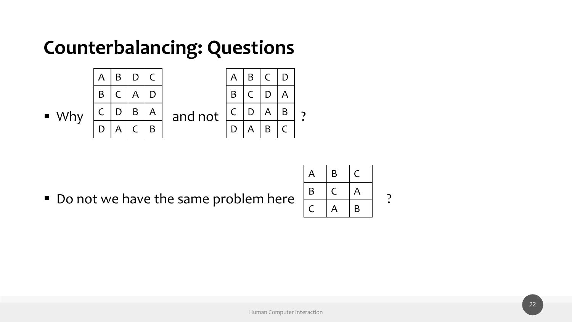#### **Counterbalancing: Questions**



■ Do not we have the same problem here  $\left|\frac{B}{C}\right|\left|\frac{C}{A}\right|$  and  $\left|\frac{B}{B}\right|$  ?

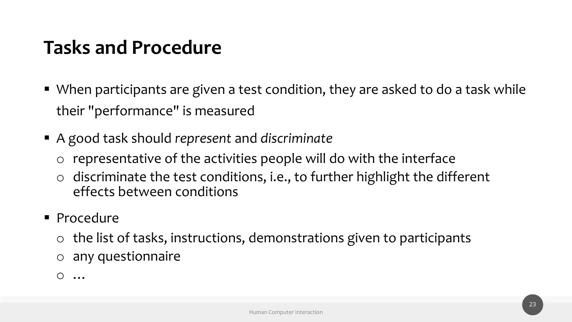# **Tasks and Procedure**

- When participants are given a test condition, they are asked to do a task while their "performance" is measured
- § A good task should *represent* and *discriminate*
	- o representative of the activities people will do with the interface
	- $\circ$  discriminate the test conditions, i.e., to further highlight the different effects between conditions
- § Procedure
	- o the list of tasks, instructions, demonstrations given to participants
	- o any questionnaire
	- o …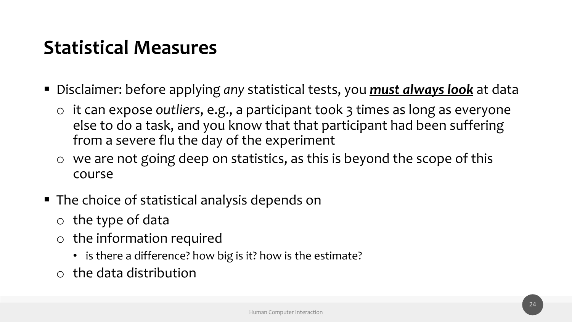# **Statistical Measures**

- Disclaimer: before applying *any* statistical tests, you **must always look** at data
	- o it can expose *outliers*, e.g., a participant took 3 times as long as everyone else to do a task, and you know that that participant had been suffering from a severe flu the day of the experiment
	- o we are not going deep on statistics, as this is beyond the scope of this course
- The choice of statistical analysis depends on
	- $\circ$  the type of data
	- o the information required
		- is there a difference? how big is it? how is the estimate?
	- o the data distribution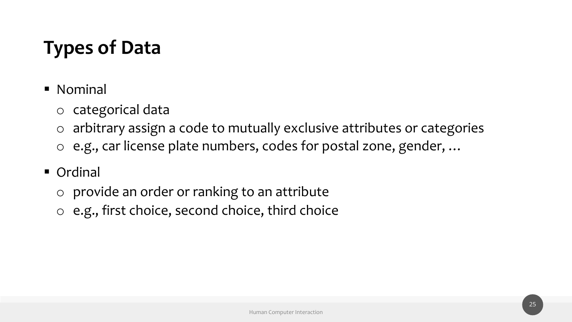# **Types of Data**

- Nominal
	- o categorical data
	- o arbitrary assign a code to mutually exclusive attributes or categories
	- o e.g., car license plate numbers, codes for postal zone, gender, …
- Ordinal
	- o provide an order or ranking to an attribute
	- o e.g., first choice, second choice, third choice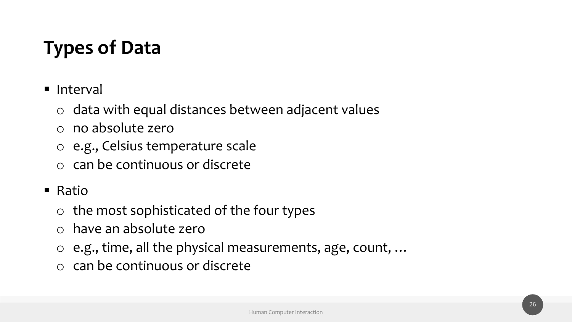# **Types of Data**

- Interval
	- o data with equal distances between adjacent values
	- o no absolute zero
	- o e.g., Celsius temperature scale
	- o can be continuous or discrete
- Ratio
	- $\circ$  the most sophisticated of the four types
	- o have an absolute zero
	- o e.g., time, all the physical measurements, age, count, …
	- o can be continuous or discrete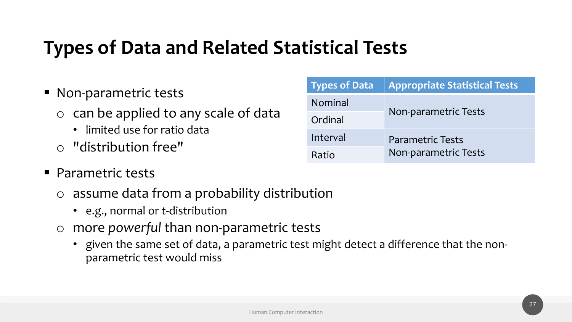# **Types of Data and Related Statistical Tests**

- § Non-parametric tests
	- $\circ$  can be applied to any scale of data
		- limited use for ratio data
	- o "distribution free"
- Parametric tests
	- o assume data from a probability distribution
		- e.g., normal or *t*-distribution
	- o more *powerful* than non-parametric tests
		- given the same set of data, a parametric test might detect a difference that the nonparametric test would miss

| <b>Types of Data</b> | <b>Appropriate Statistical Tests</b> |
|----------------------|--------------------------------------|
| Nominal              |                                      |
| Ordinal              | Non-parametric Tests                 |
| Interval             | <b>Parametric Tests</b>              |
| Ratio                | Non-parametric Tests                 |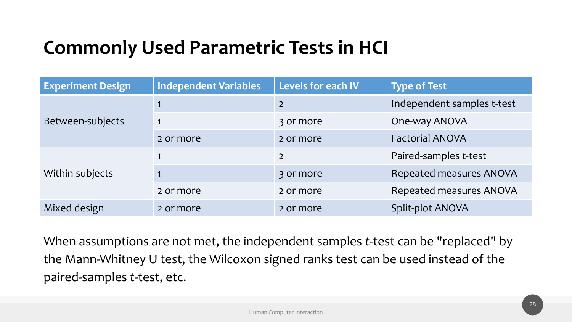# **Commonly Used Parametric Tests in HCI**

| <b>Experiment Design</b> | <b>Independent Variables</b> | Levels for each IV | <b>Type of Test</b>            |
|--------------------------|------------------------------|--------------------|--------------------------------|
|                          |                              | $\overline{2}$     | Independent samples t-test     |
| Between-subjects         | $\mathbf 1$                  | 3 or more          | One-way ANOVA                  |
|                          | 2 or more                    | 2 or more          | <b>Factorial ANOVA</b>         |
|                          |                              | $\overline{2}$     | Paired-samples t-test          |
| Within-subjects          |                              | 3 or more          | <b>Repeated measures ANOVA</b> |
|                          | 2 or more                    | 2 or more          | <b>Repeated measures ANOVA</b> |
| Mixed design             | 2 or more                    | 2 or more          | <b>Split-plot ANOVA</b>        |

When assumptions are not met, the independent samples *t*-test can be "replaced" by the Mann-Whitney U test, the Wilcoxon signed ranks test can be used instead of the paired-samples *t*-test, etc.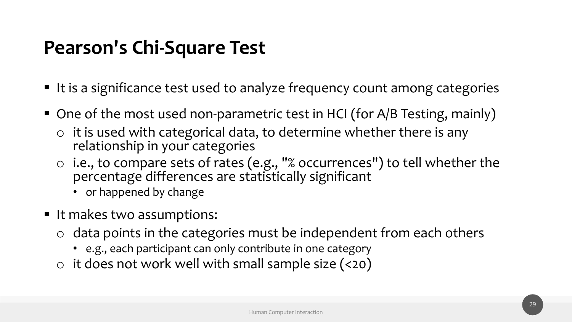# **Pearson's Chi-Square Test**

- It is a significance test used to analyze frequency count among categories
- One of the most used non-parametric test in HCI (for A/B Testing, mainly)
	- $\circ$  it is used with categorical data, to determine whether there is any relationship in your categories
	- o i.e., to compare sets of rates (e.g., "% occurrences") to tell whether the percentage differences are statistically significant
		- or happened by change
- It makes two assumptions:
	- $\circ$  data points in the categories must be independent from each others
		- e.g., each participant can only contribute in one category
	- $\circ$  it does not work well with small sample size (<20)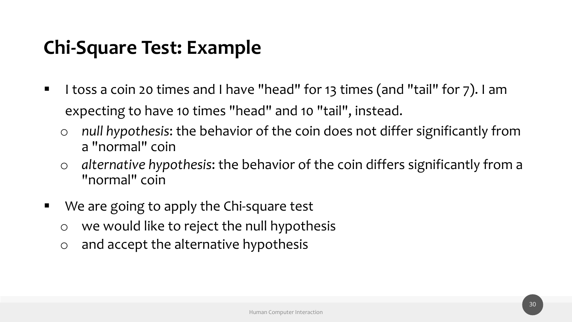# **Chi-Square Test: Example**

- I toss a coin 20 times and I have "head" for 13 times (and "tail" for 7). I am expecting to have 10 times "head" and 10 "tail", instead.
	- o *null hypothesis*: the behavior of the coin does not differ significantly from a "normal" coin
	- o *alternative hypothesis*: the behavior of the coin differs significantly from a "normal" coin
- We are going to apply the Chi-square test
	- o we would like to reject the null hypothesis
	- o and accept the alternative hypothesis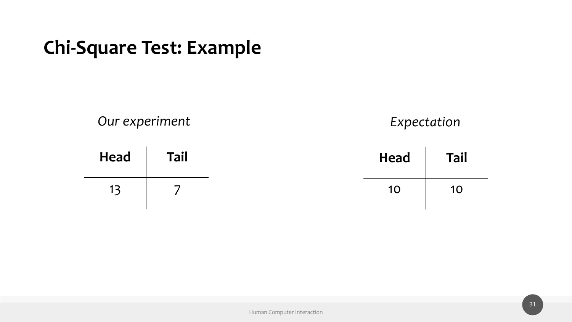#### **Chi-Square Test: Example**

*Our experiment*

*Expectation*

| <b>Head</b> | <b>Tail</b> | <b>Head</b> | <b>Tail</b> |
|-------------|-------------|-------------|-------------|
|             |             | 10          | 10          |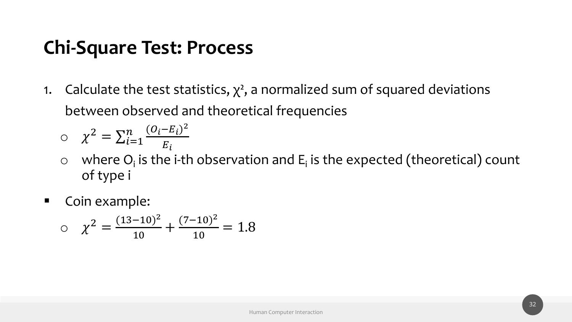1. Calculate the test statistics,  $\chi^2$ , a normalized sum of squared deviations between observed and theoretical frequencies

$$
\circ \quad \chi^2 = \sum_{i=1}^n \frac{(O_i - E_i)^2}{E_i}
$$

- $\circ$  where  $O_i$  is the i-th observation and  $E_i$  is the expected (theoretical) count of type i
- Coin example:

$$
\alpha \quad \chi^2 = \frac{(13-10)^2}{10} + \frac{(7-10)^2}{10} = 1.8
$$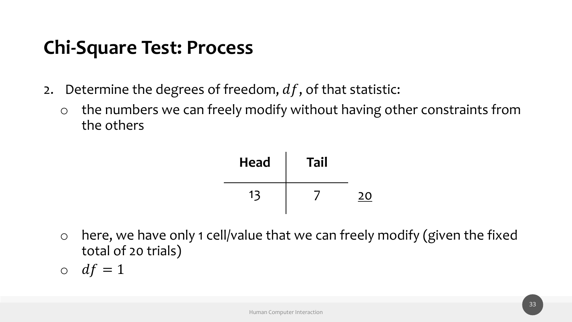- 2. Determine the degrees of freedom,  $df$ , of that statistic:
	- o the numbers we can freely modify without having other constraints from the others



- o here, we have only 1 cell/value that we can freely modify (given the fixed total of 20 trials)
- $\circ$  df = 1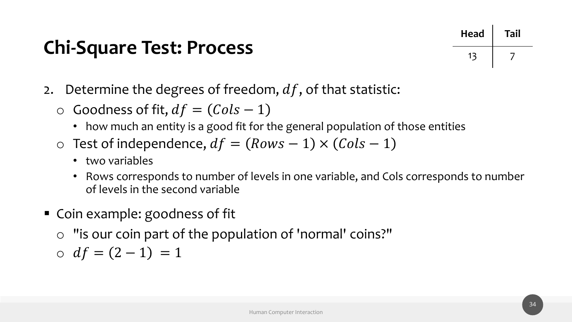

- 2. Determine the degrees of freedom,  $df$ , of that statistic:
	- $\circ$  Goodness of fit,  $df = (Cols 1)$ 
		- how much an entity is a good fit for the general population of those entities
	- o Test of independence,  $df = (Rows 1) \times (Cols 1)$ 
		- two variables
		- Rows corresponds to number of levels in one variable, and Cols corresponds to number of levels in the second variable
- Coin example: goodness of fit
	- o "is our coin part of the population of 'normal' coins?"

 $\circ$   $df = (2 - 1) = 1$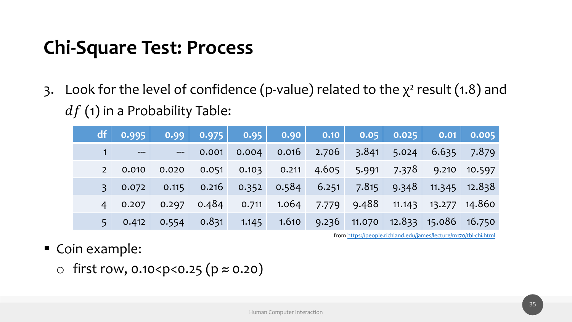3. Look for the level of confidence (p-value) related  $df$  (1) in a Probability Table:

|                | df 0.995 | 0.99                    |                 | $\begin{array}{ c c c c c } \hline \textbf{0.975} & \textbf{0.95} & \textbf{0.90} \hline \end{array}$ |               | 0.10          | <b>O</b> |
|----------------|----------|-------------------------|-----------------|-------------------------------------------------------------------------------------------------------|---------------|---------------|----------|
|                | $---$    | $---$                   | 0.001           | 0.004                                                                                                 | 0.016         | $2.706 - 3.1$ |          |
| 2 <sup>1</sup> | 0.010    | 0.020                   | 0.051           | 0.103                                                                                                 | 0.211         | 4.605         | $-5.9$   |
| 3 <sup>1</sup> | 0.072    |                         | $0.115$ $0.216$ |                                                                                                       | $0.352$ 0.584 | 6.251         | 7.       |
| $4 \square$    | 0.207    |                         | $0.297$ 0.484   | 0.711                                                                                                 | 1.064         | 7.779         | - 9.4    |
| 5 <sub>1</sub> |          | $0.412$ $0.554$ $0.831$ |                 | 1.145                                                                                                 | 1.610         | $9.236$ 11.0  |          |

from https:/

- Coin example:
	- $\circ$  first row, 0.10<p<0.25 (p ≈ 0.20)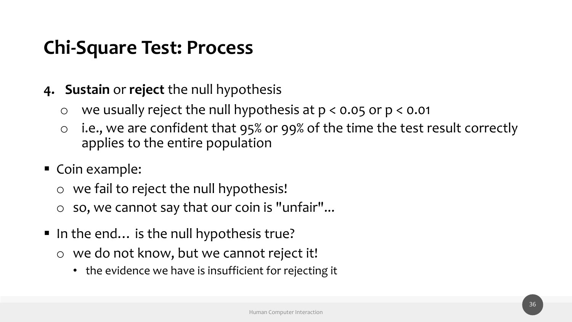- **4. Sustain** or **reject** the null hypothesis
	- o we usually reject the null hypothesis at p < 0.05 or p < 0.01
	- o i.e., we are confident that 95% or 99% of the time the test result correctly applies to the entire population
- Coin example:
	- o we fail to reject the null hypothesis!
	- so, we cannot say that our coin is "unfair"...
- In the end... is the null hypothesis true?
	- o we do not know, but we cannot reject it!
		- the evidence we have is insufficient for rejecting it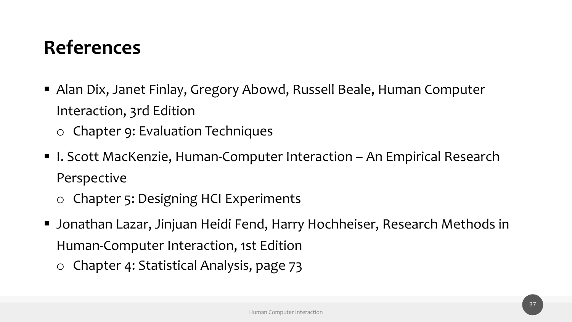# **References**

- Alan Dix, Janet Finlay, Gregory Abowd, Russell Beale, Human Computer Interaction, 3rd Edition
	- o Chapter 9: Evaluation Techniques
- I. Scott MacKenzie, Human-Computer Interaction An Empirical Research Perspective
	- o Chapter 5: Designing HCI Experiments
- Jonathan Lazar, Jinjuan Heidi Fend, Harry Hochheiser, Research Methods in Human-Computer Interaction, 1st Edition
	- o Chapter 4: Statistical Analysis, page 73